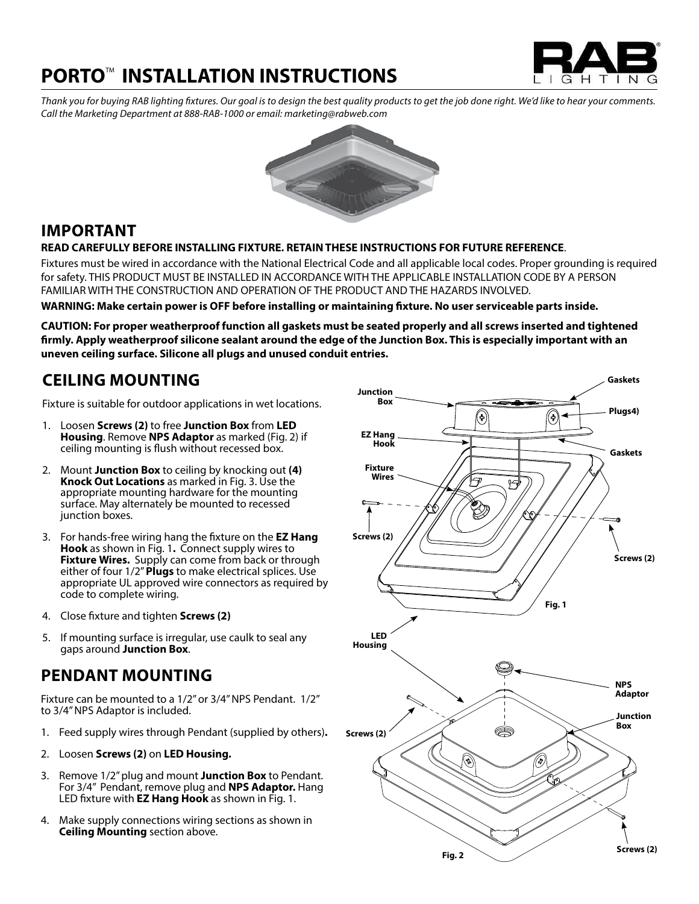# **PORTO™ INSTALLATION INSTRUCTIONS**



*Thank you for buying RAB lighting fixtures. Our goal is to design the best quality products to get the job done right. We'd like to hear your comments. Call the Marketing Department at 888-RAB-1000 or email: marketing@rabweb.com*



### **IMPORTANT**

**READ CAREFULLY BEFORE INSTALLING FIXTURE. RETAIN THESE INSTRUCTIONS FOR FUTURE REFERENCE**.

Fixtures must be wired in accordance with the National Electrical Code and all applicable local codes. Proper grounding is required for safety. THIS PRODUCT MUST BE INSTALLED IN ACCORDANCE WITH THE APPLICABLE INSTALLATION CODE BY A PERSON FAMILIAR WITH THE CONSTRUCTION AND OPERATION OF THE PRODUCT AND THE HAZARDS INVOLVED.

**WARNING: Make certain power is OFF before installing or maintaining fixture. No user serviceable parts inside.**

**CAUTION: For proper weatherproof function all gaskets must be seated properly and all screws inserted and tightened firmly. Apply weatherproof silicone sealant around the edge of the Junction Box. This is especially important with an uneven ceiling surface. Silicone all plugs and unused conduit entries.**

### **CEILING MOUNTING**

Fixture is suitable for outdoor applications in wet locations.

- 1. Loosen **Screws (2)** to free **Junction Box** from **LED Housing**. Remove **NPS Adaptor** as marked (Fig. 2) if ceiling mounting is flush without recessed box.
- 2. Mount **Junction Box** to ceiling by knocking out **(4) Knock Out Locations** as marked in Fig. 3. Use the appropriate mounting hardware for the mounting surface. May alternately be mounted to recessed junction boxes.
- 3. For hands-free wiring hang the fixture on the **EZ Hang Hook** as shown in Fig. 1**.** Connect supply wires to **Fixture Wires.** Supply can come from back or through either of four 1/2" **Plugs** to make electrical splices. Use appropriate UL approved wire connectors as required by code to complete wiring.
- 4. Close fixture and tighten **Screws (2)**
- 5. If mounting surface is irregular, use caulk to seal any gaps around **Junction Box**.

### **PENDANT MOUNTING**

Fixture can be mounted to a 1/2" or 3/4" NPS Pendant. 1/2" to 3/4" NPS Adaptor is included.

- 1. Feed supply wires through Pendant (supplied by others)**.**
- 2. Loosen **Screws (2)** on **LED Housing.**
- 3. Remove 1/2" plug and mount **Junction Box** to Pendant. For 3/4" Pendant, remove plug and **NPS Adaptor.** Hang LED fixture with **EZ Hang Hook** as shown in Fig. 1.
- 4. Make supply connections wiring sections as shown in **Ceiling Mounting** section above.